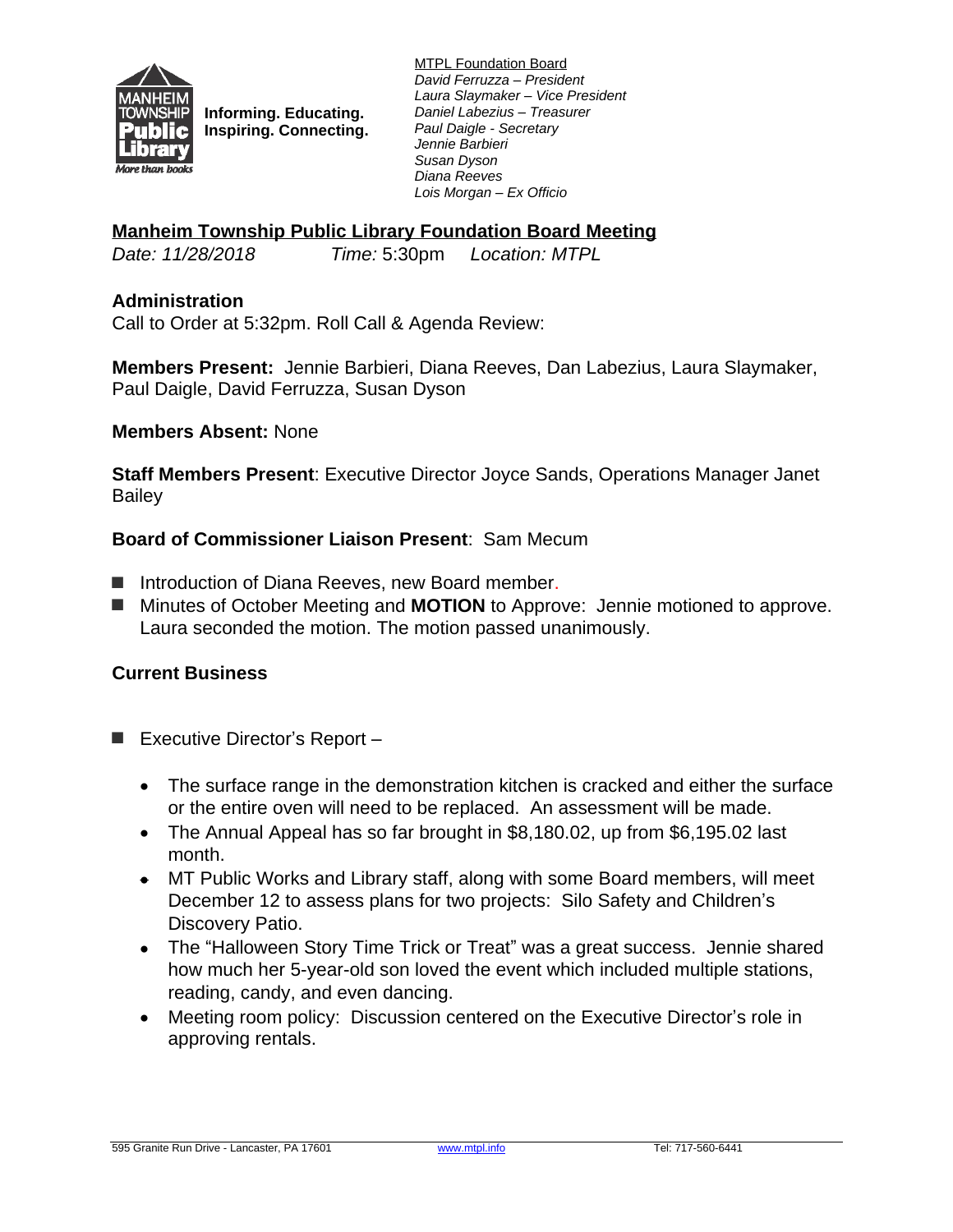

**Informing. Educating. Inspiring. Connecting.** MTPL Foundation Board *David Ferruzza – President Laura Slaymaker – Vice President Daniel Labezius – Treasurer Paul Daigle - Secretary Jennie Barbieri Susan Dyson Diana Reeves Lois Morgan – Ex Officio*

## **Manheim Township Public Library Foundation Board Meeting**

*Date: 11/28/2018 Time:* 5:30pm *Location: MTPL*

## **Administration**

Call to Order at 5:32pm. Roll Call & Agenda Review:

**Members Present:** Jennie Barbieri, Diana Reeves, Dan Labezius, Laura Slaymaker, Paul Daigle, David Ferruzza, Susan Dyson

#### **Members Absent:** None

**Staff Members Present**: Executive Director Joyce Sands, Operations Manager Janet **Bailey** 

## **Board of Commissioner Liaison Present**: Sam Mecum

- Introduction of Diana Reeves, new Board member.
- Minutes of October Meeting and **MOTION** to Approve: Jennie motioned to approve. Laura seconded the motion. The motion passed unanimously.

#### **Current Business**

- Executive Director's Report
	- The surface range in the demonstration kitchen is cracked and either the surface or the entire oven will need to be replaced. An assessment will be made.
	- The Annual Appeal has so far brought in \$8,180.02, up from \$6,195.02 last month.
	- MT Public Works and Library staff, along with some Board members, will meet December 12 to assess plans for two projects: Silo Safety and Children's Discovery Patio.
	- The "Halloween Story Time Trick or Treat" was a great success. Jennie shared how much her 5-year-old son loved the event which included multiple stations, reading, candy, and even dancing.
	- Meeting room policy: Discussion centered on the Executive Director's role in approving rentals.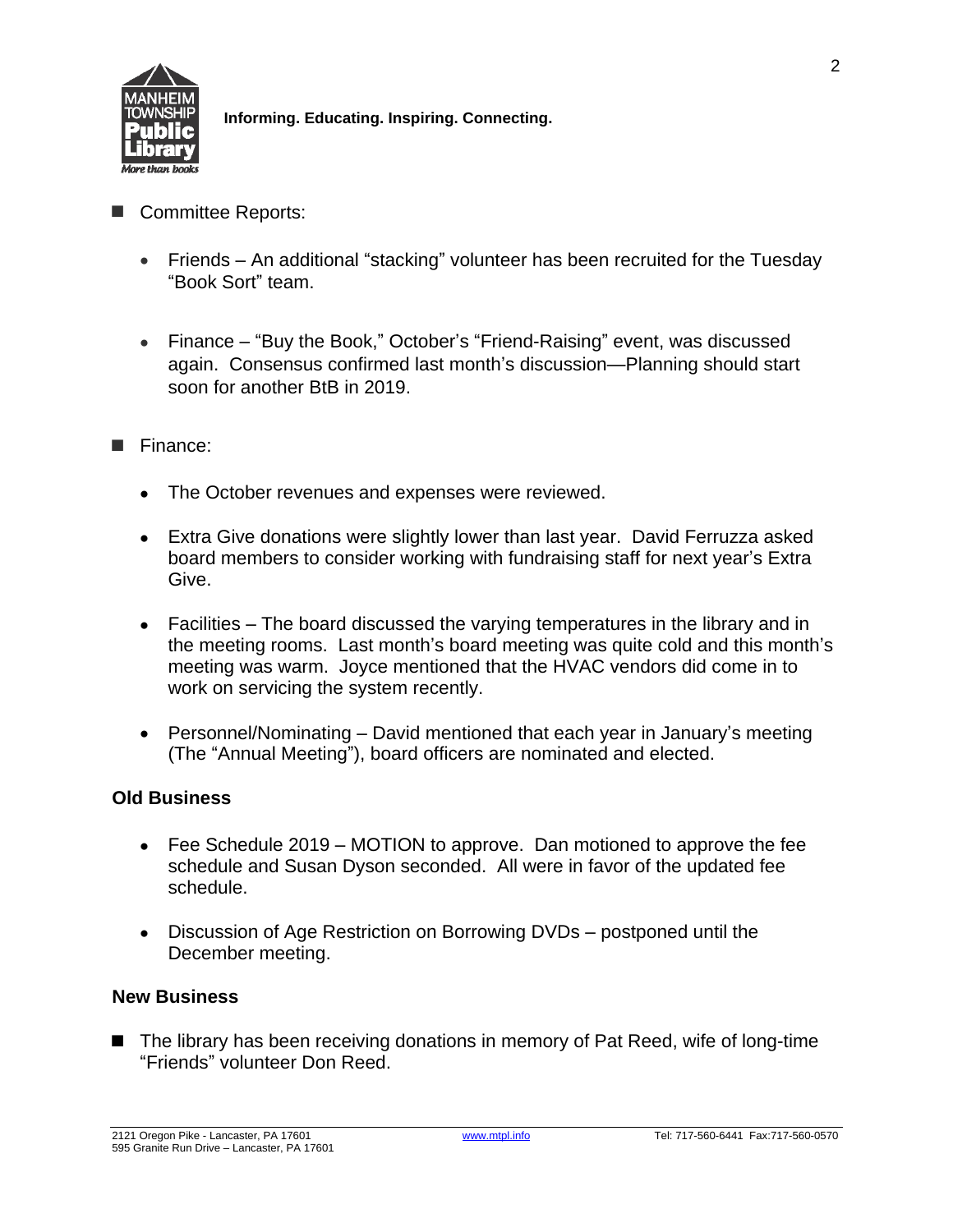

**Informing. Educating. Inspiring. Connecting.**

- Committee Reports:
	- Friends An additional "stacking" volunteer has been recruited for the Tuesday "Book Sort" team.
	- Finance "Buy the Book," October's "Friend-Raising" event, was discussed again. Consensus confirmed last month's discussion—Planning should start soon for another BtB in 2019.
- **■** Finance:
	- The October revenues and expenses were reviewed.
	- Extra Give donations were slightly lower than last year. David Ferruzza asked board members to consider working with fundraising staff for next year's Extra Give.
	- Facilities The board discussed the varying temperatures in the library and in the meeting rooms. Last month's board meeting was quite cold and this month's meeting was warm. Joyce mentioned that the HVAC vendors did come in to work on servicing the system recently.
	- Personnel/Nominating David mentioned that each year in January's meeting (The "Annual Meeting"), board officers are nominated and elected.

# **Old Business**

- Fee Schedule 2019 MOTION to approve. Dan motioned to approve the fee schedule and Susan Dyson seconded. All were in favor of the updated fee schedule.
- Discussion of Age Restriction on Borrowing DVDs postponed until the December meeting.

# **New Business**

■ The library has been receiving donations in memory of Pat Reed, wife of long-time "Friends" volunteer Don Reed.